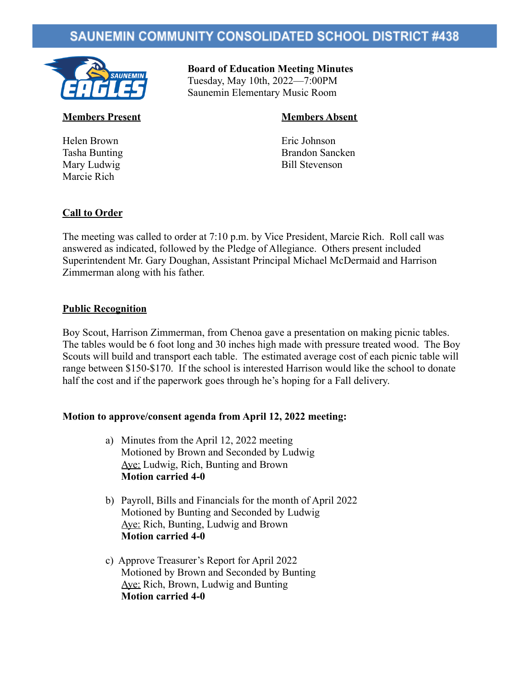# **SAUNEMIN COMMUNITY CONSOLIDATED SCHOOL DISTRICT #438**



**Board of Education Meeting Minutes** Tuesday, May 10th, 2022—7:00PM Saunemin Elementary Music Room

Helen Brown Eric Johnson Marcie Rich

## **Members Present Members Absent**

Tasha Bunting Brandon Sancken Mary Ludwig Bill Stevenson

## **Call to Order**

The meeting was called to order at 7:10 p.m. by Vice President, Marcie Rich. Roll call was answered as indicated, followed by the Pledge of Allegiance. Others present included Superintendent Mr. Gary Doughan, Assistant Principal Michael McDermaid and Harrison Zimmerman along with his father.

## **Public Recognition**

Boy Scout, Harrison Zimmerman, from Chenoa gave a presentation on making picnic tables. The tables would be 6 foot long and 30 inches high made with pressure treated wood. The Boy Scouts will build and transport each table. The estimated average cost of each picnic table will range between \$150-\$170. If the school is interested Harrison would like the school to donate half the cost and if the paperwork goes through he's hoping for a Fall delivery.

## **Motion to approve/consent agenda from April 12, 2022 meeting:**

- a) Minutes from the April 12, 2022 meeting Motioned by Brown and Seconded by Ludwig Aye: Ludwig, Rich, Bunting and Brown **Motion carried 4-0**
- b) Payroll, Bills and Financials for the month of April 2022 Motioned by Bunting and Seconded by Ludwig Aye: Rich, Bunting, Ludwig and Brown **Motion carried 4-0**
- c) Approve Treasurer's Report for April 2022 Motioned by Brown and Seconded by Bunting Aye: Rich, Brown, Ludwig and Bunting **Motion carried 4-0**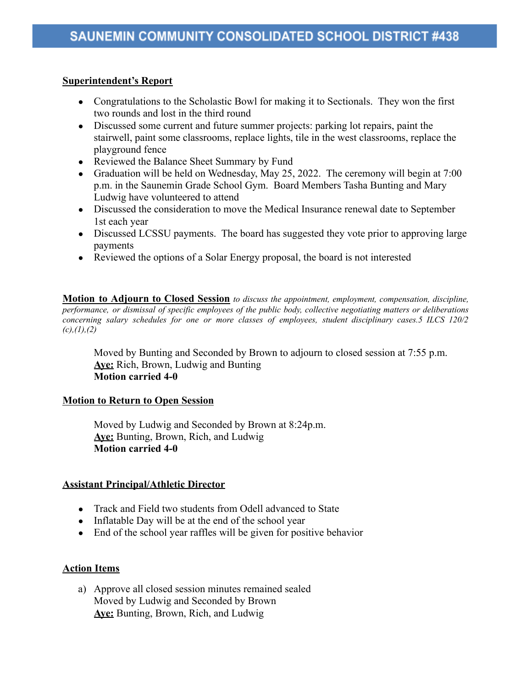## **Superintendent's Report**

- Congratulations to the Scholastic Bowl for making it to Sectionals. They won the first two rounds and lost in the third round
- Discussed some current and future summer projects: parking lot repairs, paint the stairwell, paint some classrooms, replace lights, tile in the west classrooms, replace the playground fence
- Reviewed the Balance Sheet Summary by Fund
- Graduation will be held on Wednesday, May 25, 2022. The ceremony will begin at  $7:00$ p.m. in the Saunemin Grade School Gym. Board Members Tasha Bunting and Mary Ludwig have volunteered to attend
- Discussed the consideration to move the Medical Insurance renewal date to September 1st each year
- Discussed LCSSU payments. The board has suggested they vote prior to approving large payments
- Reviewed the options of a Solar Energy proposal, the board is not interested

**Motion to Adjourn to Closed Session** *to discuss the appointment, employment, compensation, discipline, performance, or dismissal of specific employees of the public body, collective negotiating matters or deliberations concerning salary schedules for one or more classes of employees, student disciplinary cases.5 ILCS 120/2 (c),(1),(2)*

Moved by Bunting and Seconded by Brown to adjourn to closed session at 7:55 p.m. **Aye:** Rich, Brown, Ludwig and Bunting **Motion carried 4-0**

## **Motion to Return to Open Session**

Moved by Ludwig and Seconded by Brown at 8:24p.m. **Aye:** Bunting, Brown, Rich, and Ludwig **Motion carried 4-0**

## **Assistant Principal/Athletic Director**

- Track and Field two students from Odell advanced to State
- Inflatable Day will be at the end of the school year
- End of the school year raffles will be given for positive behavior

## **Action Items**

a) Approve all closed session minutes remained sealed Moved by Ludwig and Seconded by Brown **Aye:** Bunting, Brown, Rich, and Ludwig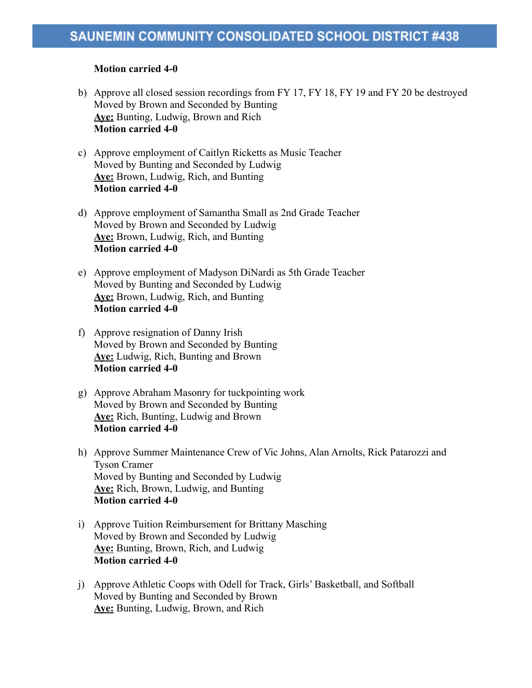### **Motion carried 4-0**

- b) Approve all closed session recordings from FY 17, FY 18, FY 19 and FY 20 be destroyed Moved by Brown and Seconded by Bunting **Aye:** Bunting, Ludwig, Brown and Rich **Motion carried 4-0**
- c) Approve employment of Caitlyn Ricketts as Music Teacher Moved by Bunting and Seconded by Ludwig **Aye:** Brown, Ludwig, Rich, and Bunting **Motion carried 4-0**
- d) Approve employment of Samantha Small as 2nd Grade Teacher Moved by Brown and Seconded by Ludwig **Aye:** Brown, Ludwig, Rich, and Bunting **Motion carried 4-0**
- e) Approve employment of Madyson DiNardi as 5th Grade Teacher Moved by Bunting and Seconded by Ludwig **Aye:** Brown, Ludwig, Rich, and Bunting **Motion carried 4-0**
- f) Approve resignation of Danny Irish Moved by Brown and Seconded by Bunting **Aye:** Ludwig, Rich, Bunting and Brown **Motion carried 4-0**
- g) Approve Abraham Masonry for tuckpointing work Moved by Brown and Seconded by Bunting **Aye:** Rich, Bunting, Ludwig and Brown **Motion carried 4-0**
- h) Approve Summer Maintenance Crew of Vic Johns, Alan Arnolts, Rick Patarozzi and Tyson Cramer Moved by Bunting and Seconded by Ludwig **Aye:** Rich, Brown, Ludwig, and Bunting **Motion carried 4-0**
- i) Approve Tuition Reimbursement for Brittany Masching Moved by Brown and Seconded by Ludwig **Aye:** Bunting, Brown, Rich, and Ludwig **Motion carried 4-0**
- j) Approve Athletic Coops with Odell for Track, Girls' Basketball, and Softball Moved by Bunting and Seconded by Brown **Aye:** Bunting, Ludwig, Brown, and Rich